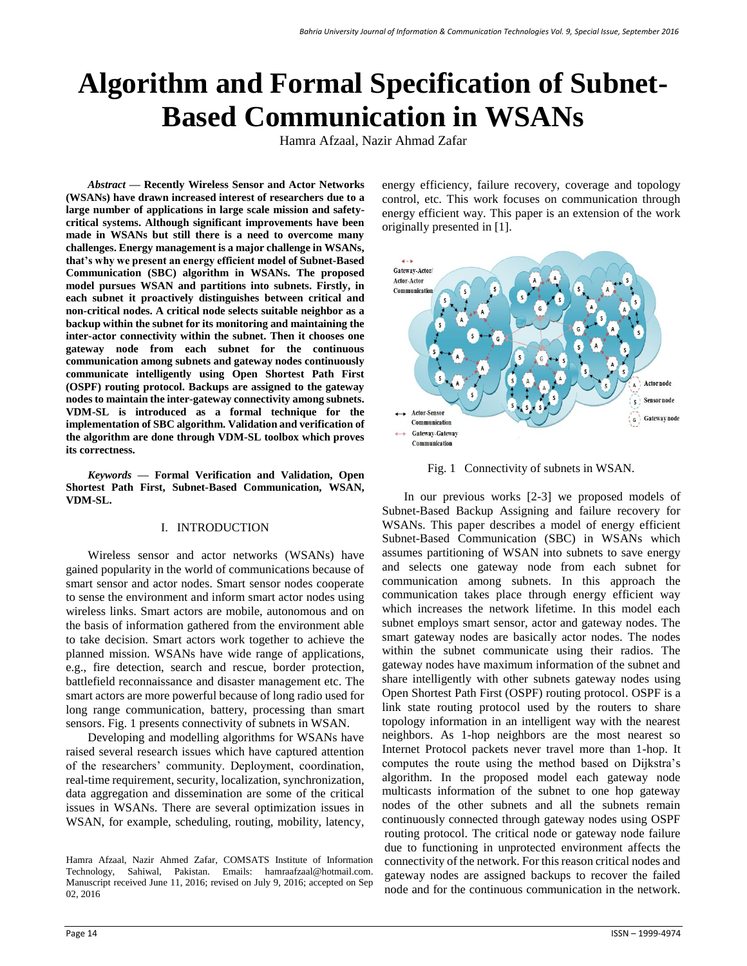# **Algorithm and Formal Specification of Subnet-Based Communication in WSANs**

Hamra Afzaal, Nazir Ahmad Zafar

*Abstract* **— Recently Wireless Sensor and Actor Networks (WSANs) have drawn increased interest of researchers due to a large number of applications in large scale mission and safetycritical systems. Although significant improvements have been made in WSANs but still there is a need to overcome many challenges. Energy management is a major challenge in WSANs, that's why we present an energy efficient model of Subnet-Based Communication (SBC) algorithm in WSANs. The proposed model pursues WSAN and partitions into subnets. Firstly, in each subnet it proactively distinguishes between critical and non-critical nodes. A critical node selects suitable neighbor as a backup within the subnet for its monitoring and maintaining the inter-actor connectivity within the subnet. Then it chooses one gateway node from each subnet for the continuous communication among subnets and gateway nodes continuously communicate intelligently using Open Shortest Path First (OSPF) routing protocol. Backups are assigned to the gateway nodes to maintain the inter-gateway connectivity among subnets. VDM-SL is introduced as a formal technique for the implementation of SBC algorithm. Validation and verification of the algorithm are done through VDM-SL toolbox which proves its correctness.**

*Keywords* **— Formal Verification and Validation, Open Shortest Path First, Subnet-Based Communication, WSAN, VDM-SL.**

# I. INTRODUCTION

Wireless sensor and actor networks (WSANs) have gained popularity in the world of communications because of smart sensor and actor nodes. Smart sensor nodes cooperate to sense the environment and inform smart actor nodes using wireless links. Smart actors are mobile, autonomous and on the basis of information gathered from the environment able to take decision. Smart actors work together to achieve the planned mission. WSANs have wide range of applications, e.g., fire detection, search and rescue, border protection, battlefield reconnaissance and disaster management etc. The smart actors are more powerful because of long radio used for long range communication, battery, processing than smart sensors. Fig. 1 presents connectivity of subnets in WSAN.

Developing and modelling algorithms for WSANs have raised several research issues which have captured attention of the researchers' community. Deployment, coordination, real-time requirement, security, localization, synchronization, data aggregation and dissemination are some of the critical issues in WSANs. There are several optimization issues in WSAN, for example, scheduling, routing, mobility, latency,

energy efficiency, failure recovery, coverage and topology control, etc. This work focuses on communication through energy efficient way. This paper is an extension of the work originally presented in [1].



Fig. 1 Connectivity of subnets in WSAN.

In our previous works [2-3] we proposed models of Subnet-Based Backup Assigning and failure recovery for WSANs. This paper describes a model of energy efficient Subnet-Based Communication (SBC) in WSANs which assumes partitioning of WSAN into subnets to save energy and selects one gateway node from each subnet for communication among subnets. In this approach the communication takes place through energy efficient way which increases the network lifetime. In this model each subnet employs smart sensor, actor and gateway nodes. The smart gateway nodes are basically actor nodes. The nodes within the subnet communicate using their radios. The gateway nodes have maximum information of the subnet and share intelligently with other subnets gateway nodes using Open Shortest Path First (OSPF) routing protocol. OSPF is a link state routing protocol used by the routers to share topology information in an intelligent way with the nearest neighbors. As 1-hop neighbors are the most nearest so Internet Protocol packets never travel more than 1-hop. It computes the route using the method based on Dijkstra's algorithm. In the proposed model each gateway node multicasts information of the subnet to one hop gateway nodes of the other subnets and all the subnets remain continuously connected through gateway nodes using OSPF routing protocol. The critical node or gateway node failure due to functioning in unprotected environment affects the connectivity of the network. For this reason critical nodes and gateway nodes are assigned backups to recover the failed node and for the continuous communication in the network.

Hamra Afzaal, Nazir Ahmed Zafar, COMSATS Institute of Information Technology, Sahiwal, Pakistan. Emails: [hamraafzaal@hotmail.com.](mailto:hamraafzaal@hotmail.com) Manuscript received June 11, 2016; revised on July 9, 2016; accepted on Sep 02, 2016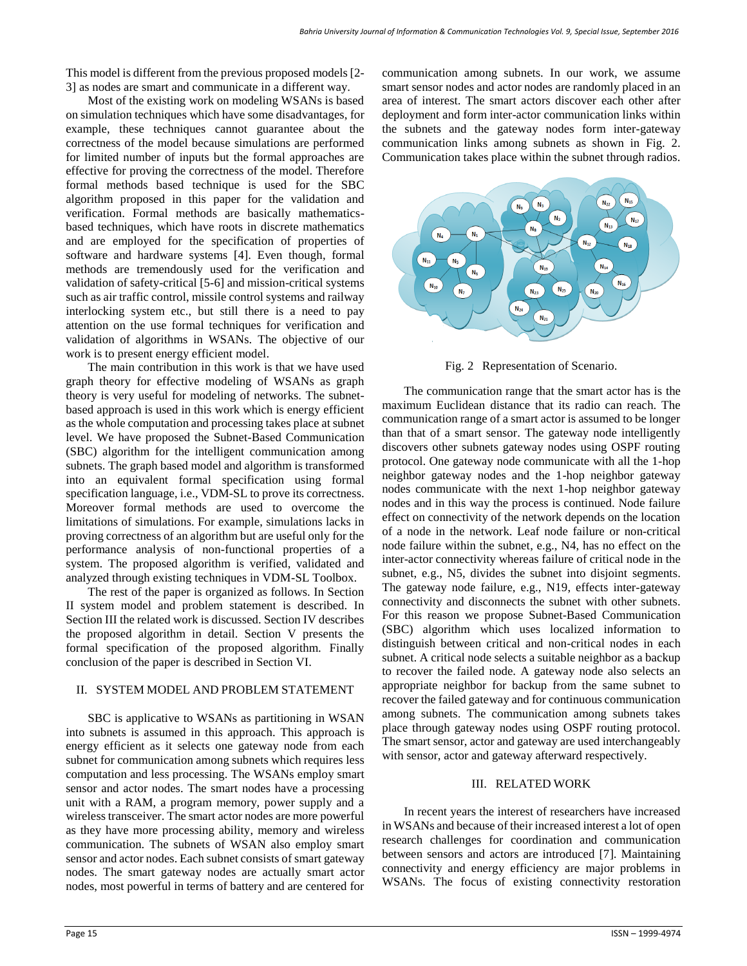This model is different from the previous proposed models [2- 3] as nodes are smart and communicate in a different way.

Most of the existing work on modeling WSANs is based on simulation techniques which have some disadvantages, for example, these techniques cannot guarantee about the correctness of the model because simulations are performed for limited number of inputs but the formal approaches are effective for proving the correctness of the model. Therefore formal methods based technique is used for the SBC algorithm proposed in this paper for the validation and verification. Formal methods are basically mathematicsbased techniques, which have roots in discrete mathematics and are employed for the specification of properties of software and hardware systems [4]. Even though, formal methods are tremendously used for the verification and validation of safety-critical [5-6] and mission-critical systems such as air traffic control, missile control systems and railway interlocking system etc., but still there is a need to pay attention on the use formal techniques for verification and validation of algorithms in WSANs. The objective of our work is to present energy efficient model.

The main contribution in this work is that we have used graph theory for effective modeling of WSANs as graph theory is very useful for modeling of networks. The subnetbased approach is used in this work which is energy efficient as the whole computation and processing takes place at subnet level. We have proposed the Subnet-Based Communication (SBC) algorithm for the intelligent communication among subnets. The graph based model and algorithm is transformed into an equivalent formal specification using formal specification language, i.e., VDM-SL to prove its correctness. Moreover formal methods are used to overcome the limitations of simulations. For example, simulations lacks in proving correctness of an algorithm but are useful only for the performance analysis of non-functional properties of a system. The proposed algorithm is verified, validated and analyzed through existing techniques in VDM-SL Toolbox.

The rest of the paper is organized as follows. In Section II system model and problem statement is described. In Section III the related work is discussed. Section IV describes the proposed algorithm in detail. Section V presents the formal specification of the proposed algorithm. Finally conclusion of the paper is described in Section VI.

#### II. SYSTEM MODEL AND PROBLEM STATEMENT

SBC is applicative to WSANs as partitioning in WSAN into subnets is assumed in this approach. This approach is energy efficient as it selects one gateway node from each subnet for communication among subnets which requires less computation and less processing. The WSANs employ smart sensor and actor nodes. The smart nodes have a processing unit with a RAM, a program memory, power supply and a wireless transceiver. The smart actor nodes are more powerful as they have more processing ability, memory and wireless communication. The subnets of WSAN also employ smart sensor and actor nodes. Each subnet consists of smart gateway nodes. The smart gateway nodes are actually smart actor nodes, most powerful in terms of battery and are centered for

communication among subnets. In our work, we assume smart sensor nodes and actor nodes are randomly placed in an area of interest. The smart actors discover each other after deployment and form inter-actor communication links within the subnets and the gateway nodes form inter-gateway communication links among subnets as shown in Fig. 2. Communication takes place within the subnet through radios.



Fig. 2 Representation of Scenario.

The communication range that the smart actor has is the maximum Euclidean distance that its radio can reach. The communication range of a smart actor is assumed to be longer than that of a smart sensor. The gateway node intelligently discovers other subnets gateway nodes using OSPF routing protocol. One gateway node communicate with all the 1-hop neighbor gateway nodes and the 1-hop neighbor gateway nodes communicate with the next 1-hop neighbor gateway nodes and in this way the process is continued. Node failure effect on connectivity of the network depends on the location of a node in the network. Leaf node failure or non-critical node failure within the subnet, e.g., N4, has no effect on the inter-actor connectivity whereas failure of critical node in the subnet, e.g., N5, divides the subnet into disjoint segments. The gateway node failure, e.g., N19, effects inter-gateway connectivity and disconnects the subnet with other subnets. For this reason we propose Subnet-Based Communication (SBC) algorithm which uses localized information to distinguish between critical and non-critical nodes in each subnet. A critical node selects a suitable neighbor as a backup to recover the failed node. A gateway node also selects an appropriate neighbor for backup from the same subnet to recover the failed gateway and for continuous communication among subnets. The communication among subnets takes place through gateway nodes using OSPF routing protocol. The smart sensor, actor and gateway are used interchangeably with sensor, actor and gateway afterward respectively.

# III. RELATED WORK

In recent years the interest of researchers have increased in WSANs and because of their increased interest a lot of open research challenges for coordination and communication between sensors and actors are introduced [7]. Maintaining connectivity and energy efficiency are major problems in WSANs. The focus of existing connectivity restoration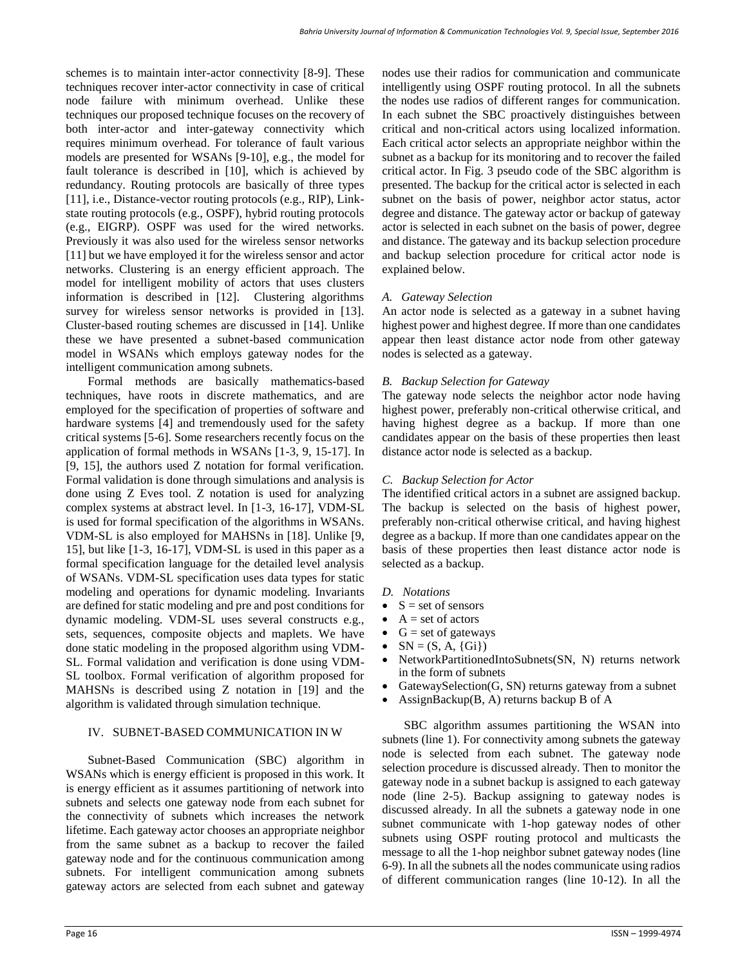schemes is to maintain inter-actor connectivity [8-9]. These techniques recover inter-actor connectivity in case of critical node failure with minimum overhead. Unlike these techniques our proposed technique focuses on the recovery of both inter-actor and inter-gateway connectivity which requires minimum overhead. For tolerance of fault various models are presented for WSANs [9-10], e.g., the model for fault tolerance is described in [10], which is achieved by redundancy. Routing protocols are basically of three types [11], i.e., Distance-vector routing protocols (e.g., RIP), Linkstate routing protocols (e.g., OSPF), hybrid routing protocols (e.g., EIGRP). OSPF was used for the wired networks. Previously it was also used for the wireless sensor networks [11] but we have employed it for the wireless sensor and actor networks. Clustering is an energy efficient approach. The model for intelligent mobility of actors that uses clusters information is described in [12]. Clustering algorithms survey for wireless sensor networks is provided in [13]. Cluster-based routing schemes are discussed in [14]. Unlike these we have presented a subnet-based communication model in WSANs which employs gateway nodes for the intelligent communication among subnets.

Formal methods are basically mathematics-based techniques, have roots in discrete mathematics, and are employed for the specification of properties of software and hardware systems [4] and tremendously used for the safety critical systems [5-6]. Some researchers recently focus on the application of formal methods in WSANs [1-3, 9, 15-17]. In [9, 15], the authors used Z notation for formal verification. Formal validation is done through simulations and analysis is done using Z Eves tool. Z notation is used for analyzing complex systems at abstract level. In [1-3, 16-17], VDM-SL is used for formal specification of the algorithms in WSANs. VDM-SL is also employed for MAHSNs in [18]. Unlike [9, 15], but like [1-3, 16-17], VDM-SL is used in this paper as a formal specification language for the detailed level analysis of WSANs. VDM-SL specification uses data types for static modeling and operations for dynamic modeling. Invariants are defined for static modeling and pre and post conditions for dynamic modeling. VDM-SL uses several constructs e.g., sets, sequences, composite objects and maplets. We have done static modeling in the proposed algorithm using VDM-SL. Formal validation and verification is done using VDM-SL toolbox. Formal verification of algorithm proposed for MAHSNs is described using Z notation in [19] and the algorithm is validated through simulation technique.

## IV. SUBNET-BASED COMMUNICATION IN W

Subnet-Based Communication (SBC) algorithm in WSANs which is energy efficient is proposed in this work. It is energy efficient as it assumes partitioning of network into subnets and selects one gateway node from each subnet for the connectivity of subnets which increases the network lifetime. Each gateway actor chooses an appropriate neighbor from the same subnet as a backup to recover the failed gateway node and for the continuous communication among subnets. For intelligent communication among subnets gateway actors are selected from each subnet and gateway

nodes use their radios for communication and communicate intelligently using OSPF routing protocol. In all the subnets the nodes use radios of different ranges for communication. In each subnet the SBC proactively distinguishes between critical and non-critical actors using localized information. Each critical actor selects an appropriate neighbor within the subnet as a backup for its monitoring and to recover the failed critical actor. In Fig. 3 pseudo code of the SBC algorithm is presented. The backup for the critical actor is selected in each subnet on the basis of power, neighbor actor status, actor degree and distance. The gateway actor or backup of gateway actor is selected in each subnet on the basis of power, degree and distance. The gateway and its backup selection procedure and backup selection procedure for critical actor node is explained below.

#### *A. Gateway Selection*

An actor node is selected as a gateway in a subnet having highest power and highest degree. If more than one candidates appear then least distance actor node from other gateway nodes is selected as a gateway.

## *B. Backup Selection for Gateway*

The gateway node selects the neighbor actor node having highest power, preferably non-critical otherwise critical, and having highest degree as a backup. If more than one candidates appear on the basis of these properties then least distance actor node is selected as a backup.

#### *C. Backup Selection for Actor*

The identified critical actors in a subnet are assigned backup. The backup is selected on the basis of highest power, preferably non-critical otherwise critical, and having highest degree as a backup. If more than one candidates appear on the basis of these properties then least distance actor node is selected as a backup.

- *D. Notations*
- $\bullet$  S = set of sensors
- $A = set of actors$
- $G = set of gateways$
- $SN = (S, A, \{Gi\})$
- NetworkPartitionedIntoSubnets(SN, N) returns network in the form of subnets
- GatewaySelection(G, SN) returns gateway from a subnet
- AssignBackup $(B, A)$  returns backup B of A

SBC algorithm assumes partitioning the WSAN into subnets (line 1). For connectivity among subnets the gateway node is selected from each subnet. The gateway node selection procedure is discussed already. Then to monitor the gateway node in a subnet backup is assigned to each gateway node (line 2-5). Backup assigning to gateway nodes is discussed already. In all the subnets a gateway node in one subnet communicate with 1-hop gateway nodes of other subnets using OSPF routing protocol and multicasts the message to all the 1-hop neighbor subnet gateway nodes (line 6-9). In all the subnets all the nodes communicate using radios of different communication ranges (line 10-12). In all the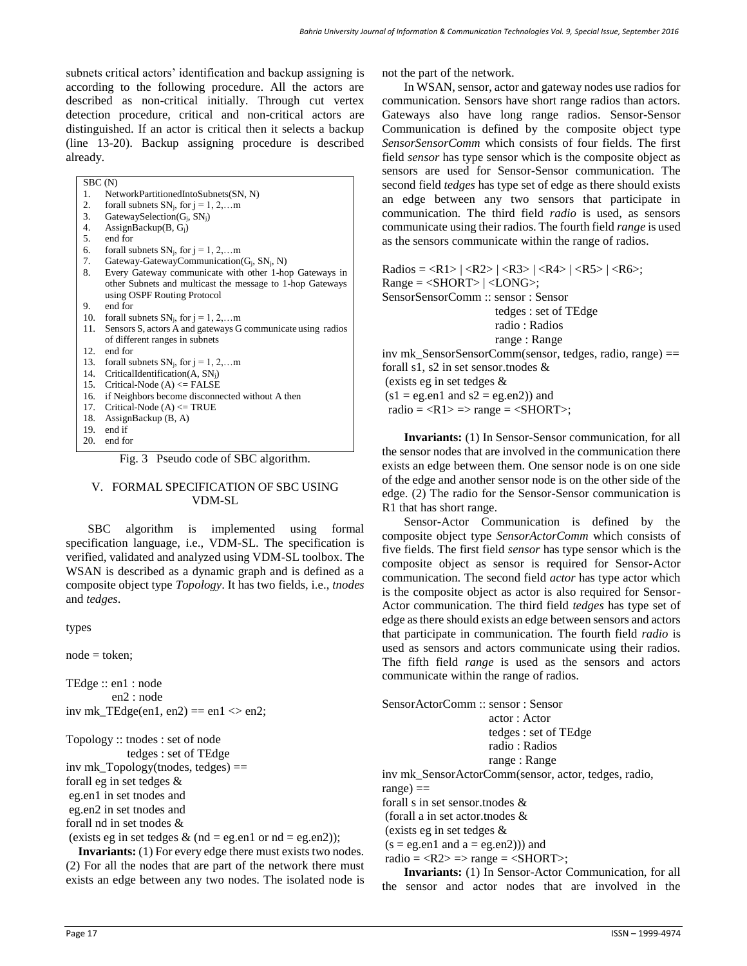subnets critical actors' identification and backup assigning is according to the following procedure. All the actors are described as non-critical initially. Through cut vertex detection procedure, critical and non-critical actors are distinguished. If an actor is critical then it selects a backup (line 13-20). Backup assigning procedure is described already.

Г

| 1.  | NetworkPartitionedIntoSubnets(SN, N)                        |
|-----|-------------------------------------------------------------|
| 2.  | for all subnets $SN_i$ , for $i = 1, 2, \ldots$ m           |
| 3.  | GatewaySelection $(G_i, SN_i)$                              |
| 4.  | AssignBackup $(B, G_i)$                                     |
| 5.  | end for                                                     |
| 6.  | for all subnets $SN_i$ , for $j = 1, 2, \ldots$ m           |
| 7.  | Gateway-GatewayCommunication( $G_i$ , SN <sub>i</sub> , N)  |
| 8.  | Every Gateway communicate with other 1-hop Gateways in      |
|     | other Subnets and multicast the message to 1-hop Gateways   |
|     | using OSPF Routing Protocol                                 |
| 9.  | end for                                                     |
| 10. | for all subnets $SN_i$ , for $j = 1, 2, \ldots$ m           |
| 11. | Sensors S, actors A and gateways G communicate using radios |
|     | of different ranges in subnets                              |
| 12. | end for                                                     |
| 13. | for all subnets $SN_i$ , for $j = 1, 2, $ m                 |
| 14. | CriticalIdentification $(A, SN_i)$                          |
| 15. | Critical-Node $(A) \leq$ FALSE                              |
| 16. | if Neighbors become disconnected without A then             |
| 17. | Critical-Node $(A) \leq TRUE$                               |
| 18. | AssignBackup $(B, A)$                                       |
| 19. | end if                                                      |
| 20. | end for                                                     |

Fig. 3 Pseudo code of SBC algorithm.

#### V. FORMAL SPECIFICATION OF SBC USING VDM-SL

SBC algorithm is implemented using formal specification language, i.e., VDM-SL. The specification is verified, validated and analyzed using VDM-SL toolbox. The WSAN is described as a dynamic graph and is defined as a composite object type *Topology*. It has two fields, i.e., *tnodes* and *tedges*.

types

node = token;

TEdge :: en1 : node en2 : node inv mk\_TEdge(en1, en2) == en1  $\langle$  en2;

Topology :: tnodes : set of node tedges : set of TEdge inv mk  $Topology(tnodes, tedges) ==$ forall eg in set tedges & eg.en1 in set tnodes and eg.en2 in set tnodes and forall nd in set tnodes &

(exists eg in set tedges  $&$  (nd = eg.en1 or nd = eg.en2));

**Invariants:** (1) For every edge there must exists two nodes. (2) For all the nodes that are part of the network there must exists an edge between any two nodes. The isolated node is not the part of the network.

In WSAN, sensor, actor and gateway nodes use radios for communication. Sensors have short range radios than actors. Gateways also have long range radios. Sensor-Sensor Communication is defined by the composite object type *SensorSensorComm* which consists of four fields. The first field *sensor* has type sensor which is the composite object as sensors are used for Sensor-Sensor communication. The second field *tedges* has type set of edge as there should exists an edge between any two sensors that participate in communication. The third field *radio* is used, as sensors communicate using their radios. The fourth field *range* is used as the sensors communicate within the range of radios.

 $\text{Radius} = \langle R1 \rangle \left| \langle R2 \rangle \right| \langle R3 \rangle \left| \langle R4 \rangle \right| \langle R5 \rangle \left| \langle R6 \rangle \right|$  $Range =$  |  $<$  LONG>; SensorSensorComm :: sensor : Sensor tedges : set of TEdge radio : Radios range : Range inv mk SensorSensorComm(sensor, tedges, radio, range)  $==$ forall s1, s2 in set sensor.tnodes & (exists eg in set tedges &  $(s1 = eg.en1$  and  $s2 = eg.en2)$  and

radio =  $\langle R1 \rangle$  =  $\langle$  range =  $\langle$ SHORT $\rangle$ ;

**Invariants:** (1) In Sensor-Sensor communication, for all the sensor nodes that are involved in the communication there exists an edge between them. One sensor node is on one side of the edge and another sensor node is on the other side of the edge. (2) The radio for the Sensor-Sensor communication is R1 that has short range.

Sensor-Actor Communication is defined by the composite object type *SensorActorComm* which consists of five fields. The first field *sensor* has type sensor which is the composite object as sensor is required for Sensor-Actor communication. The second field *actor* has type actor which is the composite object as actor is also required for Sensor-Actor communication. The third field *tedges* has type set of edge as there should exists an edge between sensors and actors that participate in communication. The fourth field *radio* is used as sensors and actors communicate using their radios. The fifth field *range* is used as the sensors and actors communicate within the range of radios.

| SensorActorComm: sensor: Sensor                      |  |  |  |  |  |  |
|------------------------------------------------------|--|--|--|--|--|--|
| actor: Actor                                         |  |  |  |  |  |  |
| tedges : set of TEdge                                |  |  |  |  |  |  |
| radio: Radios                                        |  |  |  |  |  |  |
| range : Range                                        |  |  |  |  |  |  |
| inv mk_SensorActorComm(sensor, actor, tedges, radio, |  |  |  |  |  |  |
| $range) ==$                                          |  |  |  |  |  |  |
| for all s in set sensor those $\&$                   |  |  |  |  |  |  |
| (forall a in set actor.thodes $\&$                   |  |  |  |  |  |  |
|                                                      |  |  |  |  |  |  |

(exists eg in set tedges &

 $(s = eg.en1$  and  $a = eg.en2))$  and

radio =  $\langle R2 \rangle$  =  $\langle$  range =  $\langle$ SHORT $\rangle$ ;

**Invariants:** (1) In Sensor-Actor Communication, for all the sensor and actor nodes that are involved in the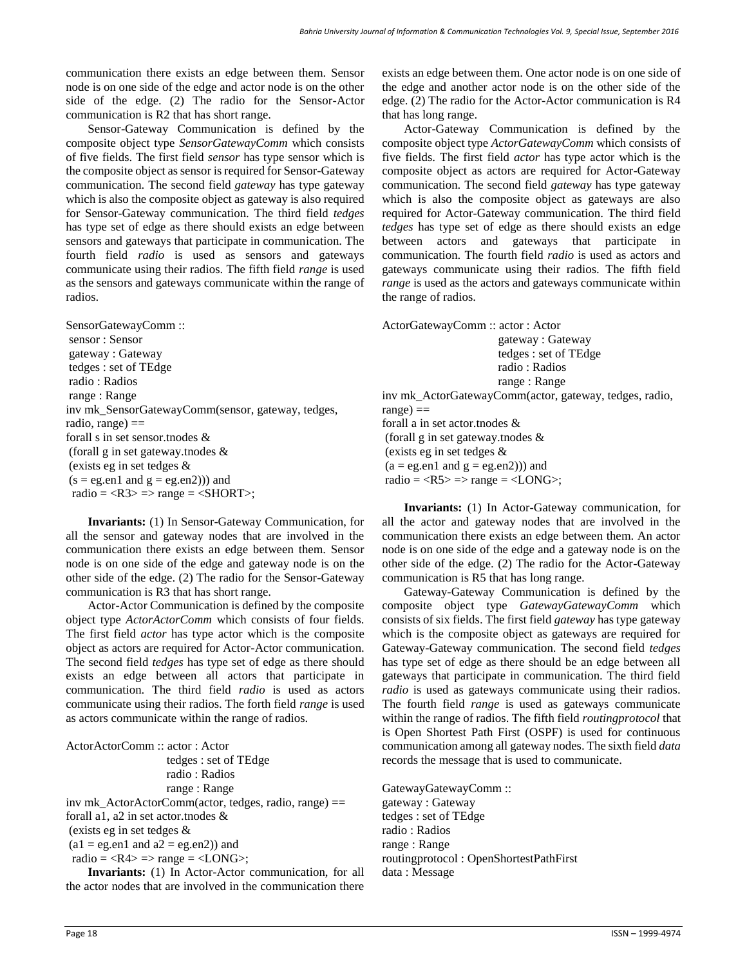communication there exists an edge between them. Sensor node is on one side of the edge and actor node is on the other side of the edge. (2) The radio for the Sensor-Actor communication is R2 that has short range.

Sensor-Gateway Communication is defined by the composite object type *SensorGatewayComm* which consists of five fields. The first field *sensor* has type sensor which is the composite object as sensor is required for Sensor-Gateway communication. The second field *gateway* has type gateway which is also the composite object as gateway is also required for Sensor-Gateway communication. The third field *tedges* has type set of edge as there should exists an edge between sensors and gateways that participate in communication. The fourth field *radio* is used as sensors and gateways communicate using their radios. The fifth field *range* is used as the sensors and gateways communicate within the range of radios.

SensorGatewayComm :: sensor : Sensor gateway : Gateway tedges : set of TEdge radio : Radios range : Range inv mk\_SensorGatewayComm(sensor, gateway, tedges, radio, range)  $==$ forall s in set sensor.tnodes & (forall g in set gateway.tnodes & (exists eg in set tedges &  $(s = eg.en1$  and  $g = eg.en2))$  and radio =  $\langle R3 \rangle$  =  $\langle$  range =  $\langle$ SHORT $\rangle$ ;

**Invariants:** (1) In Sensor-Gateway Communication, for all the sensor and gateway nodes that are involved in the communication there exists an edge between them. Sensor node is on one side of the edge and gateway node is on the other side of the edge. (2) The radio for the Sensor-Gateway communication is R3 that has short range.

Actor-Actor Communication is defined by the composite object type *ActorActorComm* which consists of four fields. The first field *actor* has type actor which is the composite object as actors are required for Actor-Actor communication. The second field *tedges* has type set of edge as there should exists an edge between all actors that participate in communication. The third field *radio* is used as actors communicate using their radios. The forth field *range* is used as actors communicate within the range of radios.

ActorActorComm :: actor : Actor tedges : set of TEdge radio : Radios range : Range inv mk\_ActorActorComm(actor, tedges, radio, range) == forall a1, a2 in set actor.tnodes  $\&$ (exists eg in set tedges &  $(a1 = eg.en1$  and  $a2 = eg.en2)$  and radio =  $\langle R4 \rangle$  =  $\langle$  range =  $\langle LONG \rangle$ ;

**Invariants:** (1) In Actor-Actor communication, for all the actor nodes that are involved in the communication there exists an edge between them. One actor node is on one side of the edge and another actor node is on the other side of the edge. (2) The radio for the Actor-Actor communication is R4 that has long range.

Actor-Gateway Communication is defined by the composite object type *ActorGatewayComm* which consists of five fields. The first field *actor* has type actor which is the composite object as actors are required for Actor-Gateway communication. The second field *gateway* has type gateway which is also the composite object as gateways are also required for Actor-Gateway communication. The third field *tedges* has type set of edge as there should exists an edge between actors and gateways that participate in communication. The fourth field *radio* is used as actors and gateways communicate using their radios. The fifth field *range* is used as the actors and gateways communicate within the range of radios.

ActorGatewayComm :: actor : Actor gateway : Gateway tedges : set of TEdge radio : Radios range : Range inv mk\_ActorGatewayComm(actor, gateway, tedges, radio,  $range) ==$ forall a in set actor.tnodes & (forall g in set gateway.tnodes & (exists eg in set tedges &  $(a = e$ g.en1 and  $g = e$ g.en2)) and radio =  $\langle R5 \rangle$  =  $\langle$  range =  $\langle$  LONG $\rangle$ ;

**Invariants:** (1) In Actor-Gateway communication, for all the actor and gateway nodes that are involved in the communication there exists an edge between them. An actor node is on one side of the edge and a gateway node is on the other side of the edge. (2) The radio for the Actor-Gateway communication is R5 that has long range.

Gateway-Gateway Communication is defined by the composite object type *GatewayGatewayComm* which consists of six fields. The first field *gateway* has type gateway which is the composite object as gateways are required for Gateway-Gateway communication. The second field *tedges* has type set of edge as there should be an edge between all gateways that participate in communication. The third field *radio* is used as gateways communicate using their radios. The fourth field *range* is used as gateways communicate within the range of radios. The fifth field *routingprotocol* that is Open Shortest Path First (OSPF) is used for continuous communication among all gateway nodes. The sixth field *data* records the message that is used to communicate.

GatewayGatewayComm :: gateway : Gateway tedges : set of TEdge radio : Radios range : Range routingprotocol : OpenShortestPathFirst data : Message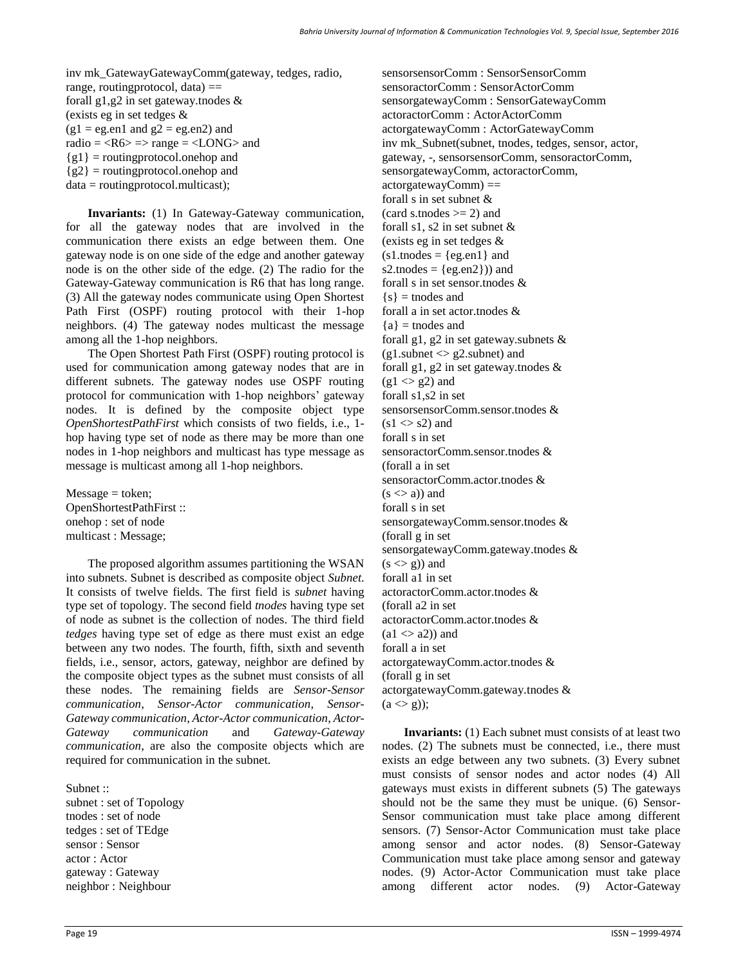inv mk\_GatewayGatewayComm(gateway, tedges, radio, range, routingprotocol, data)  $==$ forall g1,g2 in set gateway.tnodes & (exists eg in set tedges &  $(g1 = eg.en1$  and  $g2 = eg.en2)$  and radio  $=$  <R6 $>$  = > range  $=$  <LONG $>$  and  ${g1}$  = routingprotocol.onehop and  ${g2}$  = routingprotocol.onehop and data = routingprotocol.multicast);

**Invariants:** (1) In Gateway-Gateway communication, for all the gateway nodes that are involved in the communication there exists an edge between them. One gateway node is on one side of the edge and another gateway node is on the other side of the edge. (2) The radio for the Gateway-Gateway communication is R6 that has long range. (3) All the gateway nodes communicate using Open Shortest Path First (OSPF) routing protocol with their 1-hop neighbors. (4) The gateway nodes multicast the message among all the 1-hop neighbors.

The Open Shortest Path First (OSPF) routing protocol is used for communication among gateway nodes that are in different subnets. The gateway nodes use OSPF routing protocol for communication with 1-hop neighbors' gateway nodes. It is defined by the composite object type *OpenShortestPathFirst* which consists of two fields, i.e., 1 hop having type set of node as there may be more than one nodes in 1-hop neighbors and multicast has type message as message is multicast among all 1-hop neighbors.

 $Message = token;$ OpenShortestPathFirst :: onehop : set of node multicast : Message;

The proposed algorithm assumes partitioning the WSAN into subnets. Subnet is described as composite object *Subnet*. It consists of twelve fields. The first field is *subnet* having type set of topology. The second field *tnodes* having type set of node as subnet is the collection of nodes. The third field *tedges* having type set of edge as there must exist an edge between any two nodes. The fourth, fifth, sixth and seventh fields, i.e., sensor, actors, gateway, neighbor are defined by the composite object types as the subnet must consists of all these nodes. The remaining fields are *Sensor-Sensor communication*, *Sensor-Actor communication*, *Sensor-Gateway communication*, *Actor-Actor communication*, *Actor-Gateway communication* and *Gateway-Gateway communication*, are also the composite objects which are required for communication in the subnet.

Subnet :: subnet : set of Topology tnodes : set of node tedges : set of TEdge sensor : Sensor actor : Actor gateway : Gateway neighbor : Neighbour

sensorsensorComm : SensorSensorComm sensoractorComm : SensorActorComm sensorgatewayComm : SensorGatewayComm actoractorComm : ActorActorComm actorgatewayComm : ActorGatewayComm inv mk\_Subnet(subnet, tnodes, tedges, sensor, actor, gateway, -, sensorsensorComm, sensoractorComm, sensorgatewayComm, actoractorComm,  $actorgatewayComm) ==$ forall s in set subnet &  $(card s.tnodes \geq 2)$  and forall s1, s2 in set subnet  $\&$ (exists eg in set tedges &  $(s1$ .tnodes =  $\{eg.en1\}$  and s2.tnodes =  $\{eg.en2\})$  and forall s in set sensor.tnodes &  ${s}$  = tnodes and forall a in set actor.tnodes &  ${a}$  = tnodes and forall g1, g2 in set gateway.subnets  $\&$  $(g1$ .subnet  $\langle g2$ .subnet) and forall g1, g2 in set gateway.tnodes &  $(g1 \ll g2)$  and forall s1,s2 in set sensorsensorComm.sensor.tnodes &  $(s1 \ll s2)$  and forall s in set sensoractorComm.sensor.tnodes & (forall a in set sensoractorComm.actor.tnodes &  $(s \le a)$  and forall s in set sensorgatewayComm.sensor.tnodes & (forall g in set sensorgatewayComm.gateway.tnodes &  $(s \leq g)$  and forall a1 in set actoractorComm.actor.tnodes & (forall a2 in set actoractorComm.actor.tnodes &  $(a1 \le a2)$  and forall a in set actorgatewayComm.actor.tnodes & (forall g in set actorgatewayComm.gateway.tnodes &  $(a \ll g)$ ;

**Invariants:** (1) Each subnet must consists of at least two nodes. (2) The subnets must be connected, i.e., there must exists an edge between any two subnets. (3) Every subnet must consists of sensor nodes and actor nodes (4) All gateways must exists in different subnets (5) The gateways should not be the same they must be unique. (6) Sensor-Sensor communication must take place among different sensors. (7) Sensor-Actor Communication must take place among sensor and actor nodes. (8) Sensor-Gateway Communication must take place among sensor and gateway nodes. (9) Actor-Actor Communication must take place among different actor nodes. (9) Actor-Gateway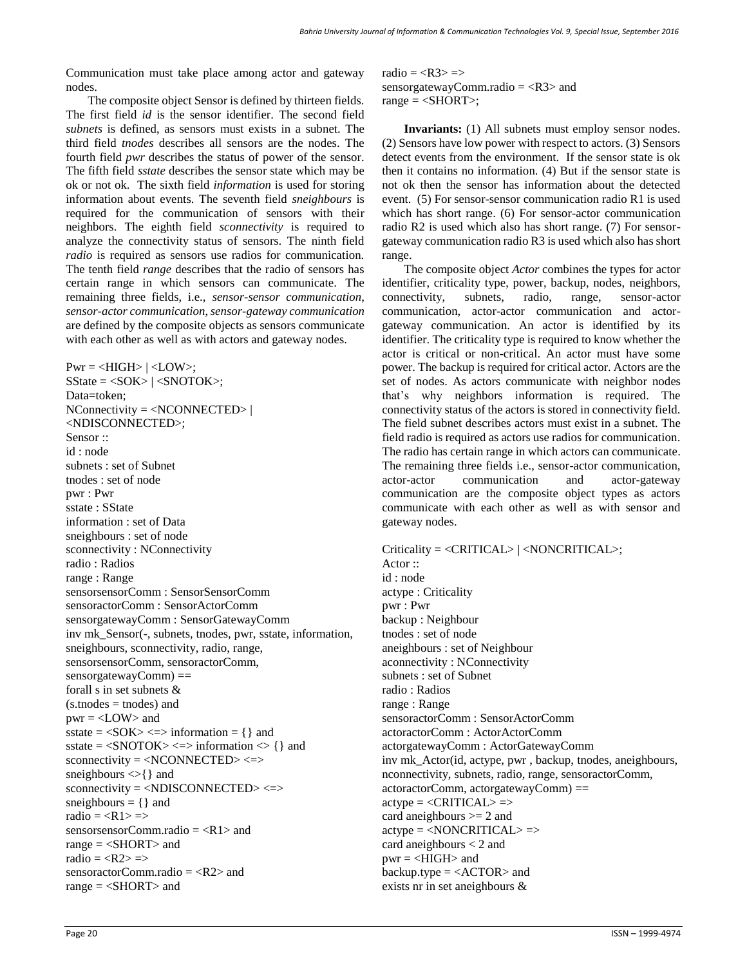Communication must take place among actor and gateway nodes.

The composite object Sensor is defined by thirteen fields. The first field *id* is the sensor identifier. The second field *subnets* is defined, as sensors must exists in a subnet. The third field *tnodes* describes all sensors are the nodes. The fourth field *pwr* describes the status of power of the sensor. The fifth field *sstate* describes the sensor state which may be ok or not ok. The sixth field *information* is used for storing information about events. The seventh field *sneighbours* is required for the communication of sensors with their neighbors. The eighth field *sconnectivity* is required to analyze the connectivity status of sensors. The ninth field *radio* is required as sensors use radios for communication. The tenth field *range* describes that the radio of sensors has certain range in which sensors can communicate. The remaining three fields, i.e., *sensor-sensor communication*, *sensor-actor communication*, *sensor-gateway communication* are defined by the composite objects as sensors communicate with each other as well as with actors and gateway nodes.

 $Pwr = \langle HIGH \rangle | \langle LOW \rangle;$ SState = <SOK> | <SNOTOK>; Data=token; NConnectivity = <NCONNECTED> | <NDISCONNECTED>; Sensor :: id : node subnets : set of Subnet tnodes : set of node pwr : Pwr sstate : SState information : set of Data sneighbours : set of node sconnectivity : NConnectivity radio : Radios range : Range sensorsensorComm : SensorSensorComm sensoractorComm : SensorActorComm sensorgatewayComm : SensorGatewayComm inv mk Sensor(-, subnets, tnodes, pwr, sstate, information, sneighbours, sconnectivity, radio, range, sensorsensorComm, sensoractorComm, sensorgatewayComm) == forall s in set subnets &  $(s.tnodes = to.)$  and  $pwr =  and$ sstate  $=$  <SOK> <=> information  $=$  { } and sstate =  $\langle$ SNOTOK> $\langle$ => information  $\langle$ } and  $s$ connectivity =  $\langle NCONNECTED \rangle \langle \Rightarrow$ sneighbours  $\ll$  { } and sconnectivity = <NDISCONNECTED> <=> sneighbours  $= \{ \}$  and radio  $=$  <R1>  $=>$ sensorsensorComm.radio  $=$  <R1> and range  $=$  <SHORT> and radio  $=$  <R2>  $\Rightarrow$ sensoractorComm.radio = <R2> and range = <SHORT> and

radio  $=  = >$ sensorgatewayComm.radio  $=$  <R3> and range  $=$  <SHORT>;

**Invariants:** (1) All subnets must employ sensor nodes. (2) Sensors have low power with respect to actors. (3) Sensors detect events from the environment. If the sensor state is ok then it contains no information. (4) But if the sensor state is not ok then the sensor has information about the detected event. (5) For sensor-sensor communication radio R1 is used which has short range. (6) For sensor-actor communication radio R2 is used which also has short range. (7) For sensorgateway communication radio R3 is used which also has short range.

The composite object *Actor* combines the types for actor identifier, criticality type, power, backup, nodes, neighbors, connectivity, subnets, radio, range, sensor-actor communication, actor-actor communication and actorgateway communication. An actor is identified by its identifier. The criticality type is required to know whether the actor is critical or non-critical. An actor must have some power. The backup is required for critical actor. Actors are the set of nodes. As actors communicate with neighbor nodes that's why neighbors information is required. The connectivity status of the actors is stored in connectivity field. The field subnet describes actors must exist in a subnet. The field radio is required as actors use radios for communication. The radio has certain range in which actors can communicate. The remaining three fields i.e., sensor-actor communication, actor-actor communication and actor-gateway communication are the composite object types as actors communicate with each other as well as with sensor and gateway nodes.

Criticality = <CRITICAL> | <NONCRITICAL>; Actor :: id : node actype : Criticality pwr : Pwr backup : Neighbour tnodes : set of node aneighbours : set of Neighbour aconnectivity : NConnectivity subnets : set of Subnet radio : Radios range : Range sensoractorComm : SensorActorComm actoractorComm : ActorActorComm actorgatewayComm : ActorGatewayComm inv mk\_Actor(id, actype, pwr , backup, tnodes, aneighbours, nconnectivity, subnets, radio, range, sensoractorComm, actoractorComm, actorgatewayComm) ==  $active =  \Rightarrow$ card aneighbours >= 2 and  $active =$  => card aneighbours < 2 and pwr = <HIGH> and backup.type  $=$  <ACTOR> and exists nr in set aneighbours &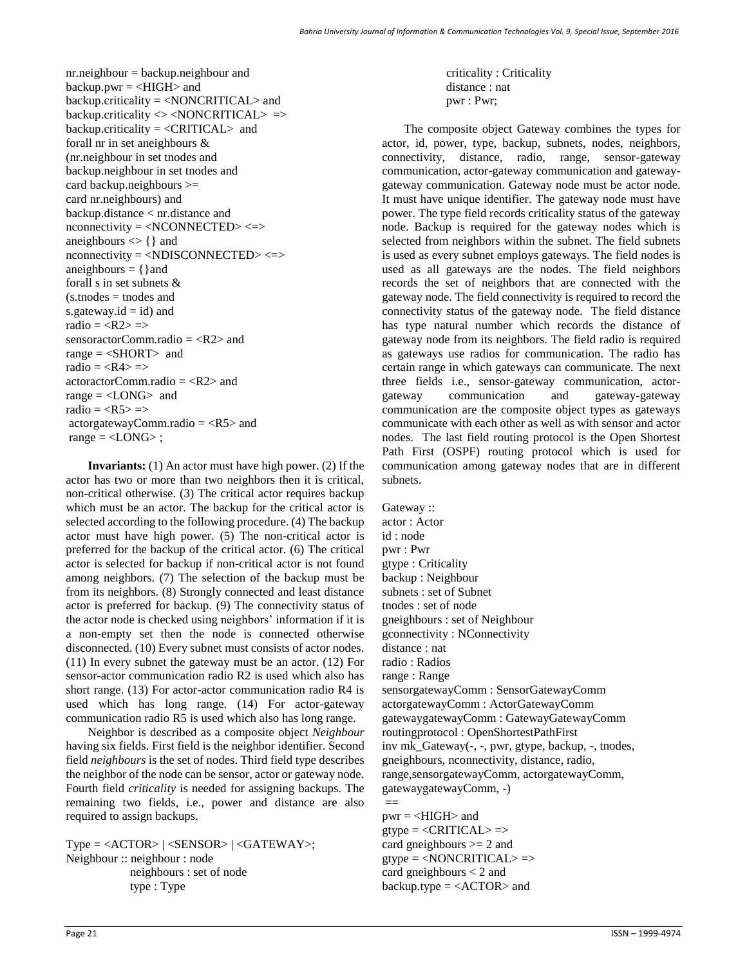nr.neighbour = backup.neighbour and backup.pwr  $=$  <HIGH> and backup.criticality = <NONCRITICAL> and backup.criticality <> <NONCRITICAL> => backup.criticality =  $\langle$ CRITICAL $>$  and forall nr in set aneighbours & (nr.neighbour in set tnodes and backup.neighbour in set tnodes and card backup.neighbours >= card nr.neighbours) and backup.distance < nr.distance and nconnectivity = <NCONNECTED> <=> aneighbours  $\langle \rangle$  { } and nconnectivity = <NDISCONNECTED> <=> aneighbours  $= \{\}$  and forall s in set subnets &  $(s, t)$  nodes  $=$  thodes and s.gateway.id  $=$  id) and radio  $=$  <R2>  $\Rightarrow$ sensoractorComm.radio  $=$  <R2> and range  $=$  <SHORT> and radio  $=$   $\Rightarrow$ actoractorComm.radio = <R2> and range  $=$  <LONG $>$  and radio  $=$   $\Rightarrow$ actorgatewayComm.radio = <R5> and range  $=$  <LONG>;

**Invariants:** (1) An actor must have high power. (2) If the actor has two or more than two neighbors then it is critical, non-critical otherwise. (3) The critical actor requires backup which must be an actor. The backup for the critical actor is selected according to the following procedure. (4) The backup actor must have high power. (5) The non-critical actor is preferred for the backup of the critical actor. (6) The critical actor is selected for backup if non-critical actor is not found among neighbors. (7) The selection of the backup must be from its neighbors. (8) Strongly connected and least distance actor is preferred for backup. (9) The connectivity status of the actor node is checked using neighbors' information if it is a non-empty set then the node is connected otherwise disconnected. (10) Every subnet must consists of actor nodes. (11) In every subnet the gateway must be an actor. (12) For sensor-actor communication radio R2 is used which also has short range. (13) For actor-actor communication radio R4 is used which has long range. (14) For actor-gateway communication radio R5 is used which also has long range.

Neighbor is described as a composite object *Neighbour* having six fields. First field is the neighbor identifier. Second field *neighbours* is the set of nodes. Third field type describes the neighbor of the node can be sensor, actor or gateway node. Fourth field *criticality* is needed for assigning backups. The remaining two fields, i.e., power and distance are also required to assign backups.

 $Type =  |  |$ ; Neighbour :: neighbour : node neighbours : set of node type : Type

 criticality : Criticality distance : nat pwr : Pwr;

The composite object Gateway combines the types for actor, id, power, type, backup, subnets, nodes, neighbors, connectivity, distance, radio, range, sensor-gateway communication, actor-gateway communication and gatewaygateway communication. Gateway node must be actor node. It must have unique identifier. The gateway node must have power. The type field records criticality status of the gateway node. Backup is required for the gateway nodes which is selected from neighbors within the subnet. The field subnets is used as every subnet employs gateways. The field nodes is used as all gateways are the nodes. The field neighbors records the set of neighbors that are connected with the gateway node. The field connectivity is required to record the connectivity status of the gateway node. The field distance has type natural number which records the distance of gateway node from its neighbors. The field radio is required as gateways use radios for communication. The radio has certain range in which gateways can communicate. The next three fields i.e., sensor-gateway communication, actorgateway communication and gateway-gateway communication are the composite object types as gateways communicate with each other as well as with sensor and actor nodes. The last field routing protocol is the Open Shortest Path First (OSPF) routing protocol which is used for communication among gateway nodes that are in different subnets.

Gateway :: actor : Actor id : node pwr : Pwr gtype : Criticality backup : Neighbour subnets : set of Subnet tnodes : set of node gneighbours : set of Neighbour gconnectivity : NConnectivity distance : nat radio : Radios range : Range sensorgatewayComm : SensorGatewayComm actorgatewayComm : ActorGatewayComm gatewaygatewayComm : GatewayGatewayComm routingprotocol : OpenShortestPathFirst inv mk\_Gateway(-, -, pwr, gtype, backup, -, tnodes, gneighbours, nconnectivity, distance, radio, range,sensorgatewayComm, actorgatewayComm, gatewaygatewayComm, -)

 $pwr =  and$  $g$ type =  $\langle \text{CRITICAL} \rangle$  =  $>$ card gneighbours >= 2 and  $gtype = \langle NONCRITICAL \rangle$  => card gneighbours < 2 and backup.type  $=$  <ACTOR> and

 $=$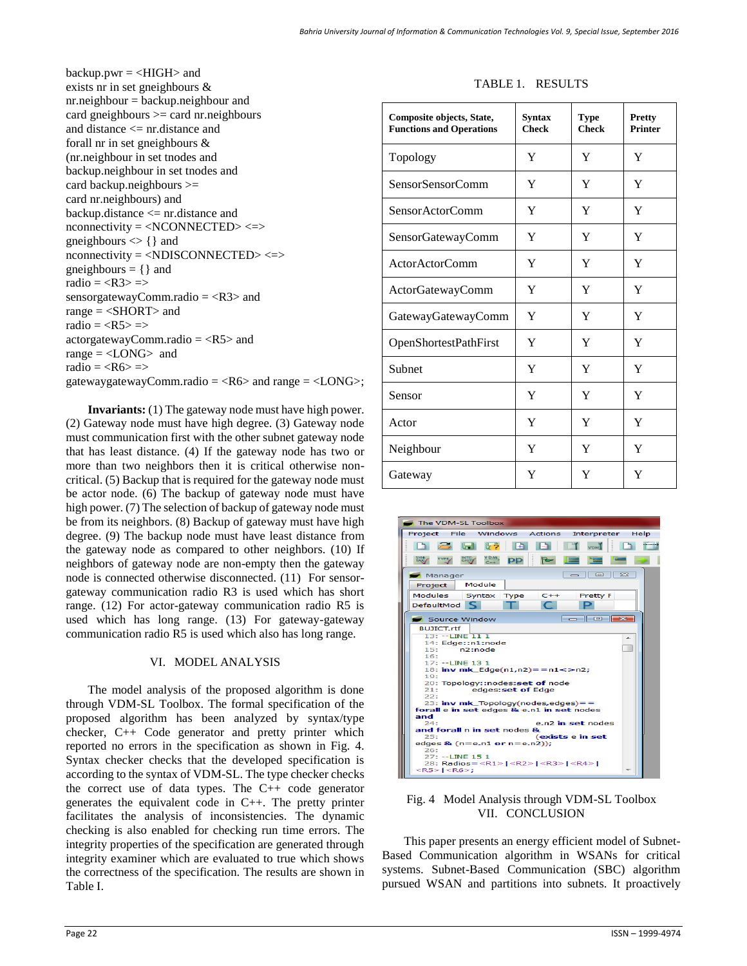backup.pwr = <HIGH> and exists nr in set gneighbours & nr.neighbour = backup.neighbour and card gneighbours >= card nr.neighbours and distance <= nr.distance and forall nr in set gneighbours & (nr.neighbour in set tnodes and backup.neighbour in set tnodes and card backup.neighbours >= card nr.neighbours) and backup.distance <= nr.distance and nconnectivity = <NCONNECTED> <=> gneighbours  $\langle \rangle$  { } and nconnectivity = <NDISCONNECTED> <=> gneighbours  $= \{ \}$  and radio =  $\langle R3 \rangle$  => sensorgatewayComm.radio  $=$  <R3> and range  $=$  <SHORT> and radio  $=  = >$ actorgatewayComm.radio  $=$  <R5 $>$  and range  $=$  <LONG> and radio =  $\langle R6 \rangle$  => gatewaygatewayComm.radio =  $\langle R6 \rangle$  and range =  $\langle LONG \rangle$ ;

**Invariants:** (1) The gateway node must have high power. (2) Gateway node must have high degree. (3) Gateway node must communication first with the other subnet gateway node that has least distance. (4) If the gateway node has two or more than two neighbors then it is critical otherwise noncritical. (5) Backup that is required for the gateway node must be actor node. (6) The backup of gateway node must have high power. (7) The selection of backup of gateway node must be from its neighbors. (8) Backup of gateway must have high degree. (9) The backup node must have least distance from the gateway node as compared to other neighbors. (10) If neighbors of gateway node are non-empty then the gateway node is connected otherwise disconnected. (11) For sensorgateway communication radio R3 is used which has short range. (12) For actor-gateway communication radio R5 is used which has long range. (13) For gateway-gateway communication radio R5 is used which also has long range.

# VI. MODEL ANALYSIS

The model analysis of the proposed algorithm is done through VDM-SL Toolbox. The formal specification of the proposed algorithm has been analyzed by syntax/type checker, C++ Code generator and pretty printer which reported no errors in the specification as shown in Fig. 4. Syntax checker checks that the developed specification is according to the syntax of VDM-SL. The type checker checks the correct use of data types. The C++ code generator generates the equivalent code in C++. The pretty printer facilitates the analysis of inconsistencies. The dynamic checking is also enabled for checking run time errors. The integrity properties of the specification are generated through integrity examiner which are evaluated to true which shows the correctness of the specification. The results are shown in Table I.

### TABLE 1. RESULTS

| Composite objects, State,<br><b>Functions and Operations</b> | <b>Syntax</b><br><b>Check</b> | Type<br><b>Check</b> | Pretty<br><b>Printer</b> |
|--------------------------------------------------------------|-------------------------------|----------------------|--------------------------|
| Topology                                                     | Y                             | Y                    | Y                        |
| SensorSensorComm                                             | Y                             | Y                    | Y                        |
| SensorActorComm                                              | Y                             | Y                    | Y                        |
| SensorGatewayComm                                            | Y                             | Y                    | Y                        |
| Actor Actor Comm                                             | Y                             | Y                    | Y                        |
| ActorGatewayComm                                             | Y                             | Y                    | Y                        |
| GatewayGatewayComm                                           | Y                             | Y                    | Y                        |
| OpenShortestPathFirst                                        | Y                             | Y                    | Y                        |
| Subnet                                                       | Y                             | Y                    | Y                        |
| Sensor                                                       | Y                             | Y                    | Y                        |
| Actor                                                        | Y                             | Y                    | Y                        |
| Neighbour                                                    | Y                             | Y                    | Y                        |
| Gateway                                                      | Y                             | Y                    | Y                        |



Fig. 4 Model Analysis through VDM-SL Toolbox VII. CONCLUSION

This paper presents an energy efficient model of Subnet-Based Communication algorithm in WSANs for critical systems. Subnet-Based Communication (SBC) algorithm pursued WSAN and partitions into subnets. It proactively